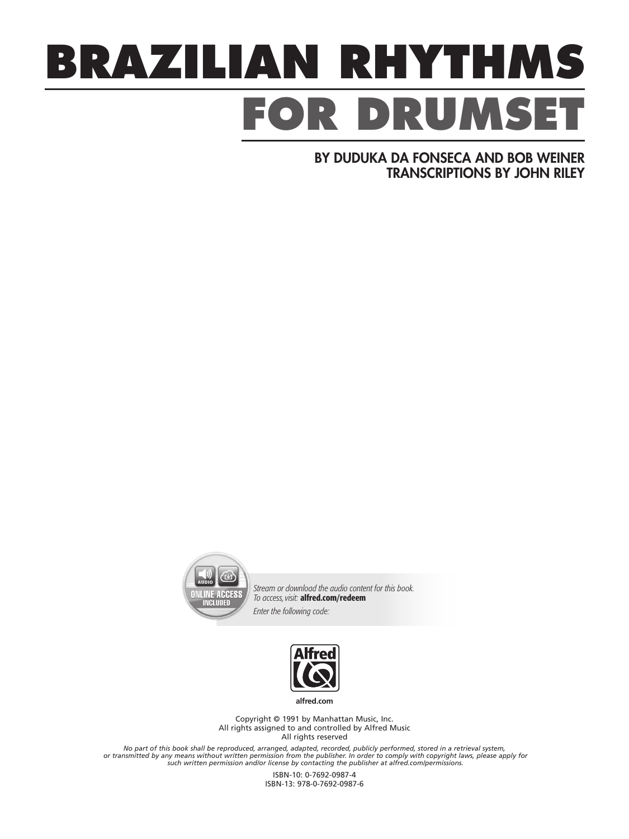## **BRAZILIAN RHYTHMS** FOR DRUMS

BY DUDUKA DA FONSECA AND BOB WEINER TRANSCRIPTIONS BY JOHN RILEY



*Stream or download the audio content for this book. To access, visit:* alfred.com/redeem *Enter the following code:* 



**alfred.com**

Copyright © 1991 by Manhattan Music, Inc. All rights assigned to and controlled by Alfred Music All rights reserved

No part of this book shall be reproduced, arranged, adapted, recorded, publicly performed, stored in a retrieval system,<br>or transmitted by any means without written permission from the publisher. In order to comply with co

ISBN-10: 0-7692-0987-4 ISBN-13: 978-0-7692-0987-6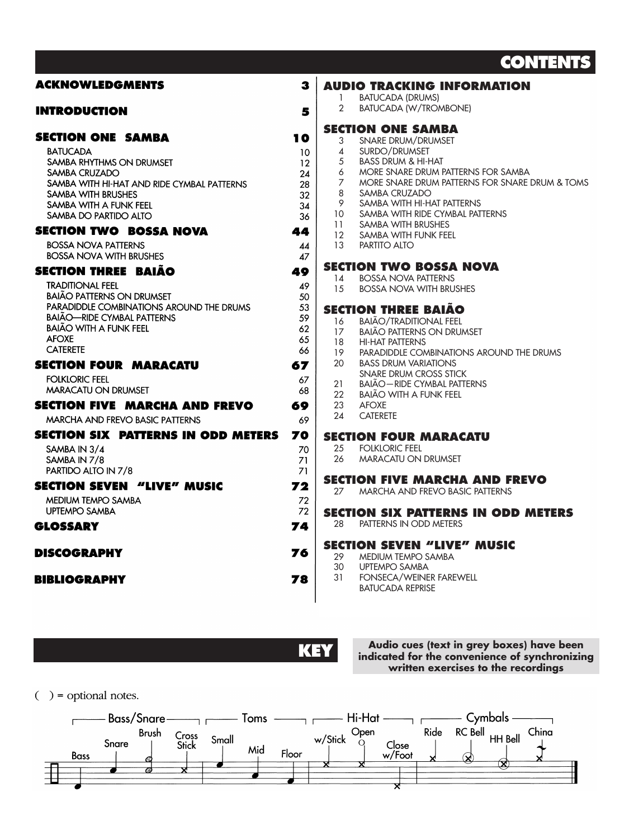## **CONTENTS**

| <b>ACKNOWLEDGMENTS</b>                     | 3        | <b>AUDIO TRACKING INFORMATION</b><br><b>BATUCADA (DRUMS)</b>     |
|--------------------------------------------|----------|------------------------------------------------------------------|
| <b>INTRODUCTION</b>                        | 5        | $\mathcal{L}$<br><b>BATUCADA (W/TROMBONE)</b>                    |
| <b>SECTION ONE SAMBA</b>                   | 10       | <b>SECTION ONE SAMBA</b><br>3<br>SNARE DRUM/DRUMSET              |
| <b>BATUCADA</b>                            | 10       | 4<br>SURDO/DRUMSET                                               |
| SAMBA RHYTHMS ON DRUMSET                   | 12       | 5<br><b>BASS DRUM &amp; HI-HAT</b>                               |
| SAMBA CRUZADO                              | 24       | 6<br>MORE SNARE DRUM PATTERNS FOR SAMBA                          |
| SAMBA WITH HI-HAT AND RIDE CYMBAL PATTERNS | 28       | $\overline{7}$<br>MORE SNARE DRUM PATTERNS FOR SNARE DRUM & TOMS |
| <b>SAMBA WITH BRUSHES</b>                  |          | 8<br>SAMBA CRUZADO                                               |
|                                            | 32       | 9<br>SAMBA WITH HI-HAT PATTERNS                                  |
| SAMBA WITH A FUNK FEEL                     | 34       | SAMBA WITH RIDE CYMBAL PATTERNS<br>10                            |
| SAMBA DO PARTIDO ALTO                      | 36       | 11<br>SAMBA WITH BRUSHES                                         |
| <b>SECTION TWO BOSSA NOVA</b>              | 44       | 12<br>SAMBA WITH FUNK FEEL                                       |
| <b>BOSSA NOVA PATTERNS</b>                 |          | 13<br>PARTITO ALTO                                               |
| <b>BOSSA NOVA WITH BRUSHES</b>             | 44<br>47 |                                                                  |
|                                            |          |                                                                  |
| <b>SECTION THREE BAIÃO</b>                 | 49       | <b>SECTION TWO BOSSA NOVA</b>                                    |
| <b>TRADITIONAL FEEL</b>                    | 49       | <b>BOSSA NOVA PATTERNS</b><br>14                                 |
| <b>BAIÃO PATTERNS ON DRUMSET</b>           | 50       | 1.5<br><b>BOSSA NOVA WITH BRUSHES</b>                            |
| PARADIDDLE COMBINATIONS AROUND THE DRUMS   | 53       |                                                                  |
| <b>BAIÃO—RIDE CYMBAL PATTERNS</b>          | 59       | <b>SECTION THREE BAIAO</b>                                       |
| <b>BAIÃO WITH A FUNK FEEL</b>              |          | 16<br><b>BAIÃO/TRADITIONAL FEEL</b>                              |
| <b>AFOXE</b>                               | 62       | <b>BAIÃO PATTERNS ON DRUMSET</b><br>17                           |
|                                            | 65       | 18<br><b>HI-HAT PATTERNS</b>                                     |
| <b>CATERETE</b>                            | 66       | 19<br>PARADIDDLE COMBINATIONS AROUND THE DRUMS                   |
| <b>SECTION FOUR MARACATU</b>               | 67       | 20<br><b>BASS DRUM VARIATIONS</b>                                |
| <b>FOLKLORIC FEEL</b>                      | 67       | SNARE DRUM CROSS STICK                                           |
| <b>MARACATU ON DRUMSET</b>                 |          | <b>BAIÃO-RIDE CYMBAL PATTERNS</b><br>21                          |
|                                            | 68       | 22<br><b>BAIÃO WITH A FUNK FEEL</b>                              |
| <b>SECTION FIVE MARCHA AND FREVO</b>       | 69       | 23<br><b>AFOXE</b>                                               |
| <b>MARCHA AND FREVO BASIC PATTERNS</b>     | 69       | 24<br><b>CATERETE</b>                                            |
| <b>SECTION SIX PATTERNS IN ODD METERS</b>  | 70       | <b>SECTION FOUR MARACATU</b>                                     |
| SAMBA IN 3/4                               | 70       | <b>FOLKLORIC FEEL</b><br>25                                      |
| SAMBA IN 7/8                               | 71       | 26<br>MARACATU ON DRUMSET                                        |
| PARTIDO ALTO IN 7/8                        | 71       |                                                                  |
|                                            |          | <b>SECTION FIVE MARCHA AND FREVO</b>                             |
| <b>SECTION SEVEN "LIVE" MUSIC</b>          | 72       | MARCHA AND FREVO BASIC PATTERNS<br>27                            |
| <b>MEDIUM TEMPO SAMBA</b>                  | 72       |                                                                  |
| <b>UPTEMPO SAMBA</b>                       | 72       | <b>SECTION SIX PATTERNS IN ODD METERS</b>                        |
|                                            |          | PATTERNS IN ODD METERS<br>28                                     |
| <b>GLOSSARY</b>                            | 74       |                                                                  |
| <b>DISCOGRAPHY</b>                         | 76       | <b>SECTION SEVEN "LIVE" MUSIC</b>                                |
|                                            |          | 29<br>MEDIUM TEMPO SAMBA                                         |
|                                            |          | 30<br><b>UPTEMPO SAMBA</b>                                       |
| <b>BIBLIOGRAPHY</b>                        | 78       | 31<br>FONSECA/WEINER FAREWELL<br><b>BATUCADA REPRISE</b>         |
|                                            |          |                                                                  |

**KEY Audio cues (text in grey boxes) have been indicated for the convenience of synchronizing written exercises to the recordings**

 $( )$  = optional notes.